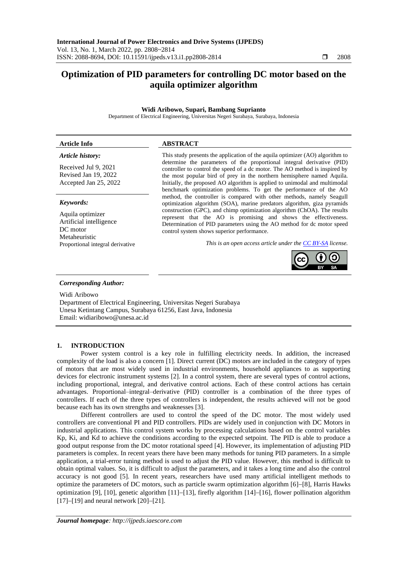# **Optimization of PID parameters for controlling DC motor based on the aquila optimizer algorithm**

## **Widi Aribowo, Supari, Bambang Suprianto**

Department of Electrical Engineering, Universitas Negeri Surabaya, Surabaya, Indonesia

| <b>Article Info</b>                                                      | <b>ABSTRACT</b>                                                                                                                                                                                                                                                     |
|--------------------------------------------------------------------------|---------------------------------------------------------------------------------------------------------------------------------------------------------------------------------------------------------------------------------------------------------------------|
| Article history:<br>Received Jul 9, 2021                                 | This study presents the application of the aquila optimizer (AO) algorithm to<br>determine the parameters of the proportional integral derivative (PID)<br>controller to control the speed of a dc motor. The AO method is inspired by                              |
| Revised Jan 19, 2022                                                     | the most popular bird of prey in the northern hemisphere named Aquila.                                                                                                                                                                                              |
| Accepted Jan 25, 2022                                                    | Initially, the proposed AO algorithm is applied to unimodal and multimodal<br>benchmark optimization problems. To get the performance of the AO                                                                                                                     |
| Keywords:                                                                | method, the controller is compared with other methods, namely Seagull<br>optimization algorithm (SOA), marine predators algorithm, giza pyramids                                                                                                                    |
| Aquila optimizer<br>Artificial intelligence<br>DC motor<br>Metaheuristic | construction (GPC), and chimp optimization algorithm (ChOA). The results<br>represent that the AO is promising and shows the effectiveness.<br>Determination of PID parameters using the AO method for dc motor speed<br>control system shows superior performance. |
| Proportional integral derivative                                         | This is an open access article under the CC BY-SA license.                                                                                                                                                                                                          |
|                                                                          |                                                                                                                                                                                                                                                                     |

### *Corresponding Author:*

Widi Aribowo Department of Electrical Engineering, Universitas Negeri Surabaya Unesa Ketintang Campus, Surabaya 61256, East Java, Indonesia Email: widiaribowo@unesa.ac.id

## **1. INTRODUCTION**

Power system control is a key role in fulfilling electricity needs. In addition, the increased complexity of the load is also a concern [1]. Direct current (DC) motors are included in the category of types of motors that are most widely used in industrial environments, household appliances to as supporting devices for electronic instrument systems [2]. In a control system, there are several types of control actions, including proportional, integral, and derivative control actions. Each of these control actions has certain advantages. Proportional–integral–derivative (PID) controller is a combination of the three types of controllers. If each of the three types of controllers is independent, the results achieved will not be good because each has its own strengths and weaknesses [3].

Different controllers are used to control the speed of the DC motor. The most widely used controllers are conventional PI and PID controllers. PIDs are widely used in conjunction with DC Motors in industrial applications. This control system works by processing calculations based on the control variables Kp, Ki, and Kd to achieve the conditions according to the expected setpoint. The PID is able to produce a good output response from the DC motor rotational speed [4]. However, its implementation of adjusting PID parameters is complex. In recent years there have been many methods for tuning PID parameters. In a simple application, a trial-error tuning method is used to adjust the PID value. However, this method is difficult to obtain optimal values. So, it is difficult to adjust the parameters, and it takes a long time and also the control accuracy is not good [5]. In recent years, researchers have used many artificial intelligent methods to optimize the parameters of DC motors, such as particle swarm optimization algorithm [6]−[8], Harris Hawks optimization [9], [10], genetic algorithm [11]−[13], firefly algorithm [14]−[16], flower pollination algorithm [17]−[19] and neural network [20]−[21].

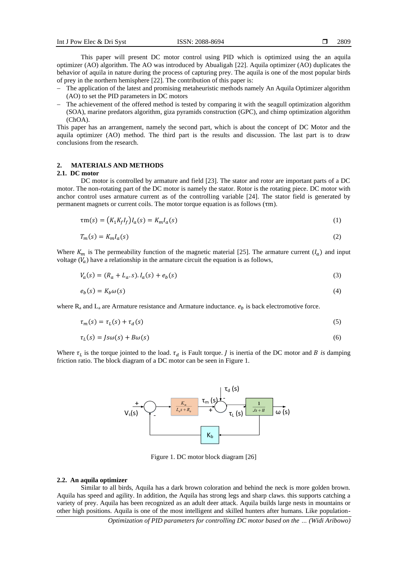This paper will present DC motor control using PID which is optimized using the an aquila optimizer (AO) algorithm. The AO was introduced by Abualigah [22]. Aquila optimizer (AO) duplicates the behavior of aquila in nature during the process of capturing prey. The aquila is one of the most popular birds of prey in the northern hemisphere [22]. The contribution of this paper is:

- The application of the latest and promising metaheuristic methods namely An Aquila Optimizer algorithm (AO) to set the PID parameters in DC motors
- The achievement of the offered method is tested by comparing it with the seagull optimization algorithm (SOA), marine predators algorithm, giza pyramids construction (GPC), and chimp optimization algorithm (ChOA).

This paper has an arrangement, namely the second part, which is about the concept of DC Motor and the aquila optimizer (AO) method. The third part is the results and discussion. The last part is to draw conclusions from the research.

# **2. MATERIALS AND METHODS**

#### **2.1. DC motor**

DC motor is controlled by armature and field [23]. The stator and rotor are important parts of a DC motor. The non-rotating part of the DC motor is namely the stator. Rotor is the rotating piece. DC motor with anchor control uses armature current as of the controlling variable [24]. The stator field is generated by permanent magnets or current coils. The motor torque equation is as follows (τm).

$$
\tau m(s) = (K_1 K_f I_f) I_a(s) = K_m I_a(s)
$$
\n(1)

$$
T_m(s) = K_m I_a(s) \tag{2}
$$

Where  $K_m$  is The permeability function of the magnetic material [25]. The armature current  $(I_a)$  and input voltage  $(V_a)$  have a relationship in the armature circuit the equation is as follows,

$$
V_a(s) = (R_a + L_a \cdot s) \cdot I_a(s) + e_b(s) \tag{3}
$$

$$
e_b(s) = K_b \omega(s) \tag{4}
$$

where  $R_a$  and  $L_a$  are Armature resistance and Armature inductance.  $e_b$  is back electromotive force.

$$
\tau_m(s) = \tau_L(s) + \tau_d(s) \tag{5}
$$

$$
\tau_L(s) = Js\omega(s) + B\omega(s) \tag{6}
$$

Where  $\tau_L$  is the torque jointed to the load.  $\tau_d$  is Fault torque. *J* is inertia of the DC motor and *B* is damping friction ratio. The block diagram of a DC motor can be seen in Figure 1.



Figure 1. DC motor block diagram [26]

### **2.2. An aquila optimizer**

Similar to all birds, Aquila has a dark brown coloration and behind the neck is more golden brown. Aquila has speed and agility. In addition, the Aquila has strong legs and sharp claws. this supports catching a variety of prey. Aquila has been recognized as an adult deer attack. Aquila builds large nests in mountains or other high positions. Aquila is one of the most intelligent and skilled hunters after humans. Like population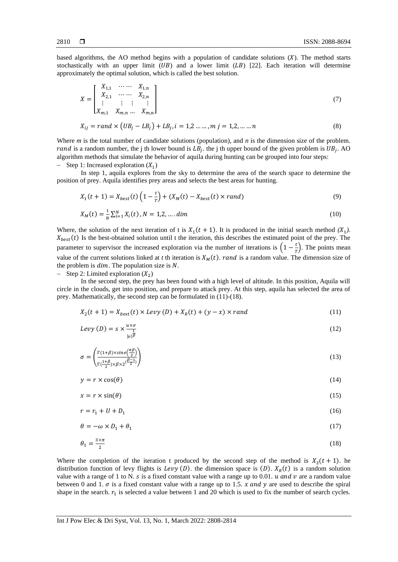based algorithms, the AO method begins with a population of candidate solutions  $(X)$ . The method starts stochastically with an upper limit  $(UB)$  and a lower limit  $(LB)$  [22]. Each iteration will determine approximately the optimal solution, which is called the best solution.

$$
X = \begin{bmatrix} X_{1,1} & \cdots & X_{1,n} \\ X_{2,1} & \cdots & X_{2,n} \\ \vdots & \vdots & \vdots & \vdots \\ X_{m,1} & X_{m,n} & \cdots & X_{m,n} \end{bmatrix}
$$
(7)

$$
X_{ij} = rand \times (UB_j - LB_j) + LB_j, i = 1, 2, ..., m \quad j = 1, 2, ..., n \tag{8}
$$

Where *m* is the total number of candidate solutions (population), and *n* is the dimension size of the problem. *rand* is a random number, the j th lower bound is  $LB_j$ . the j th upper bound of the given problem is  $UB_j$ . AO algorithm methods that simulate the behavior of aquila during hunting can be grouped into four steps:  $-$  Step 1: Increased exploration  $(X_1)$ 

In step 1, aquila explores from the sky to determine the area of the search space to determine the position of prey. Aquila identifies prey areas and selects the best areas for hunting.

$$
X_1(t+1) = X_{best}(t) \left(1 - \frac{t}{T}\right) + (X_M(t) - X_{best}(t) \times rand)
$$
\n(9)

$$
X_M(t) = \frac{1}{N} \sum_{i=1}^N X_i(t), N = 1, 2, \dots, dim
$$
\n(10)

Where, the solution of the next iteration of t is  $X_1(t + 1)$ . It is produced in the initial search method  $(X_1)$ .  $X_{best}(t)$  Is the best-obtained solution until t the iteration, this describes the estimated point of the prey. The parameter to supervisor the increased exploration via the number of iterations is  $\left(1-\frac{t}{\tau}\right)$  $\frac{c}{T}$ ). The points mean value of the current solutions linked at *t* th iteration is  $X_M(t)$ . *rand* is a random value. The dimension size of the problem is  $dim$ . The population size is  $N$ .

 $-$  Step 2: Limited exploration  $(X_2)$ 

In the second step, the prey has been found with a high level of altitude. In this position, Aquila will circle in the clouds, get into position, and prepare to attack prey. At this step, aquila has selected the area of prey. Mathematically, the second step can be formulated in (11)-(18).

$$
X_2(t+1) = X_{best}(t) \times Levy (D) + X_R(t) + (y - x) \times rand \tag{11}
$$

$$
Levy(D) = s \times \frac{u \times \sigma}{|v|^{\beta}} \tag{12}
$$

$$
\sigma = \left(\frac{\Gamma(1+\beta) \times \text{sine}\left(\frac{\pi\beta}{2}\right)}{\Gamma(\frac{1+\beta}{2}) \times \beta \times 2^{\left(\frac{\beta-1}{2}\right)}}\right)
$$
(13)

$$
y = r \times \cos(\theta) \tag{14}
$$

$$
x = r \times \sin(\theta) \tag{15}
$$

$$
r = r_1 + U + D_1 \tag{16}
$$

$$
\theta = -\omega \times D_1 + \theta_1 \tag{17}
$$

$$
\theta_1 = \frac{3 \times \pi}{2} \tag{18}
$$

Where the completion of the iteration t produced by the second step of the method is  $X_2(t + 1)$ . he distribution function of levy flights is *Levy* (*D*). the dimension space is (*D*).  $X_R(t)$  is a random solution value with a range of 1 to N. s is a fixed constant value with a range up to 0.01.  $u$  and  $v$  are a random value between 0 and 1.  $\sigma$  is a fixed constant value with a range up to 1.5. x and y are used to describe the spiral shape in the search.  $r_1$  is selected a value between 1 and 20 which is used to fix the number of search cycles.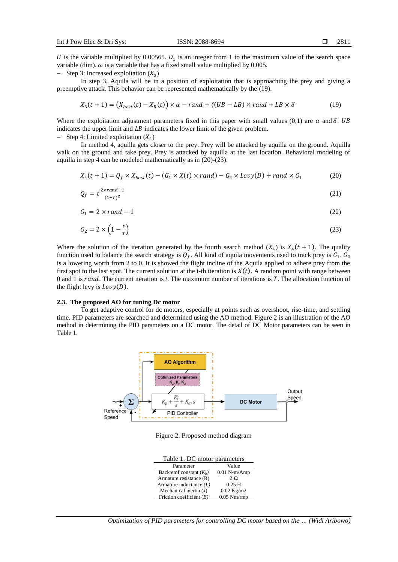U is the variable multiplied by 0.00565.  $D_1$  is an integer from 1 to the maximum value of the search space variable (dim).  $\omega$  is a variable that has a fixed small value multiplied by 0.005.

 $-$  Step 3: Increased exploitation  $(X_3)$ 

In step 3, Aquila will be in a position of exploitation that is approaching the prey and giving a preemptive attack. This behavior can be represented mathematically by the (19).

$$
X_3(t+1) = (X_{best}(t) - X_R(t)) \times \alpha - rand + ((UB - LB) \times rand + LB \times \delta)
$$
 (19)

Where the exploitation adjustment parameters fixed in this paper with small values (0,1) are  $\alpha$  and  $\delta$ . UB indicates the upper limit and  $LB$  indicates the lower limit of the given problem.

 $-$  Step 4: Limited exploitation  $(X_4)$ 

In method 4, aquilla gets closer to the prey. Prey will be attacked by aquilla on the ground. Aquilla walk on the ground and take prey. Prey is attacked by aquilla at the last location. Behavioral modeling of aquilla in step 4 can be modeled mathematically as in (20)-(23).

$$
X_4(t+1) = Q_f \times X_{best}(t) - (G_1 \times X(t) \times rand) - G_2 \times Levy(D) + rand \times G_1
$$
 (20)

$$
Q_f = t \frac{2 \times rand - 1}{(1 - T)^2} \tag{21}
$$

$$
G_1 = 2 \times rand - 1 \tag{22}
$$

$$
G_2 = 2 \times \left(1 - \frac{t}{T}\right) \tag{23}
$$

Where the solution of the iteration generated by the fourth search method  $(X_4)$  is  $X_4(t + 1)$ . The quality function used to balance the search strategy is  $Q_f$ . All kind of aquila movements used to track prey is  $G_1$ .  $G_2$ is a lowering worth from 2 to 0. It is showed the flight incline of the Aquila applied to adhere prey from the first spot to the last spot. The current solution at the t-th iteration is  $X(t)$ . A random point with range between 0 and 1 is rand. The current iteration is *t*. The maximum number of iterations is *T*. The allocation function of the flight levy is  $Levy(D)$ .

## **2.3. The proposed AO for tuning Dc motor**

To **g**et adaptive control for dc motors, especially at points such as overshoot, rise-time, and settling time. PID parameters are searched and determined using the AO method. Figure 2 is an illustration of the AO method in determining the PID parameters on a DC motor. The detail of DC Motor parameters can be seen in Table 1.



Figure 2. Proposed method diagram

| Table 1. DC motor parameters |  |
|------------------------------|--|
|------------------------------|--|

| Parameter                  | Value          |
|----------------------------|----------------|
| Back emf constant $(K_b)$  | $0.01$ N-m/Amp |
| Armature resistance $(R)$  | $2\Omega$      |
| Armature inductance $(L)$  | 0.25H          |
| Mechanical inertia $(J)$   | $0.02$ Kg/m2   |
| Friction coefficient $(B)$ | $0.05$ Nm/rmp  |

*Optimization of PID parameters for controlling DC motor based on the … (Widi Aribowo)*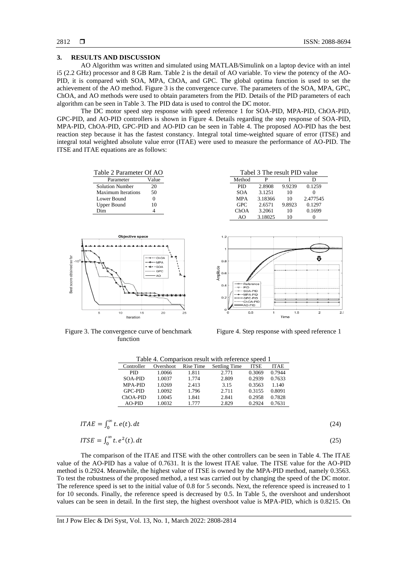## **3. RESULTS AND DISCUSSION**

AO Algorithm was written and simulated using MATLAB/Simulink on a laptop device with an intel i5 (2.2 GHz) processor and 8 GB Ram. Table 2 is the detail of AO variable. To view the potency of the AO-PID, it is compared with SOA, MPA, ChOA, and GPC. The global optima function is used to set the achievement of the AO method. Figure 3 is the convergence curve. The parameters of the SOA, MPA, GPC, ChOA, and AO methods were used to obtain parameters from the PID. Details of the PID parameters of each algorithm can be seen in Table 3. The PID data is used to control the DC motor.

The DC motor speed step response with speed reference 1 for SOA-PID, MPA-PID, ChOA-PID, GPC-PID, and AO-PID controllers is shown in Figure 4. Details regarding the step response of SOA-PID, MPA-PID, ChOA-PID, GPC-PID and AO-PID can be seen in Table 4. The proposed AO-PID has the best reaction step because it has the fastest constancy. Integral total time-weighted square of error (ITSE) and integral total weighted absolute value error (ITAE) were used to measure the performance of AO-PID. The ITSE and ITAE equations are as follows:

| Table 2 Parameter Of AO   |       | Tabel 3 The result PID value |         |        |          |
|---------------------------|-------|------------------------------|---------|--------|----------|
| Parameter                 | Value | Method                       |         |        |          |
| <b>Solution Number</b>    | 20    | <b>PID</b>                   | 2.8908  | 9.9239 | 0.1259   |
| <b>Maximum Iterations</b> | 50    | SOA                          | 3.1251  | 10     |          |
| Lower Bound               |       | <b>MPA</b>                   | 3.18366 | 10     | 2.477545 |
| Upper Bound               | 10    | <b>GPC</b>                   | 2.6571  | 9.8923 | 0.1297   |
| Dim                       |       | ChOA                         | 3.2061  | 10     | 0.1699   |
|                           |       | ΔO                           | 3.18025 | 10     |          |



Figure 3. The convergence curve of benchmark function



Figure 4. Step response with speed reference 1

**Time** 

| Table 4. Comparison result with reference speed 1 |           |           |                      |             |             |
|---------------------------------------------------|-----------|-----------|----------------------|-------------|-------------|
| Controller                                        | Overshoot | Rise Time | <b>Settling Time</b> | <b>ITSE</b> | <b>ITAE</b> |
| <b>PID</b>                                        | 1.0066    | 1.811     | 2.771                | 0.3069      | 0.7944      |
| <b>SOA-PID</b>                                    | 1.0037    | 1.774     | 2.809                | 0.2939      | 0.7633      |
| <b>MPA-PID</b>                                    | 1.0269    | 2.413     | 3.15                 | 0.3563      | 1.140       |
| <b>GPC-PID</b>                                    | 1.0092    | 1.796     | 2.711                | 0.3155      | 0.8091      |
| ChOA-PID                                          | 1.0045    | 1.841     | 2.841                | 0.2958      | 0.7828      |
| $AO-PID$                                          | 1.0032    | 1.777     | 2.829                | 0.2924      | 0.7631      |

| $ITAE = \int_0^\infty t.\,e(t).\,dt$ | (24) |
|--------------------------------------|------|
|                                      |      |

$$
ITSE = \int_0^\infty t \cdot e^2(t) \cdot dt \tag{25}
$$

The comparison of the ITAE and ITSE with the other controllers can be seen in Table 4. The ITAE value of the AO-PID has a value of 0.7631. It is the lowest ITAE value. The ITSE value for the AO-PID method is 0.2924. Meanwhile, the highest value of ITSE is owned by the MPA-PID method, namely 0.3563. To test the robustness of the proposed method, a test was carried out by changing the speed of the DC motor. The reference speed is set to the initial value of 0.8 for 5 seconds. Next, the reference speed is increased to 1 for 10 seconds. Finally, the reference speed is decreased by 0.5. In Table 5, the overshoot and undershoot values can be seen in detail. In the first step, the highest overshoot value is MPA-PID, which is 0.8215. On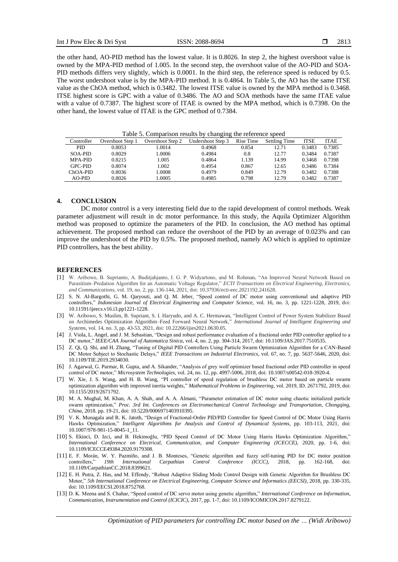the other hand, AO-PID method has the lowest value. It is 0.8026. In step 2, the highest overshoot value is owned by the MPA-PID method of 1.005. In the second step, the overshoot value of the AO-PID and SOA-PID methods differs very slightly, which is 0.0001. In the third step, the reference speed is reduced by 0.5. The worst undershoot value is by the MPA-PID method. It is 0.4864. In Table 5, the AO has the same ITSE value as the ChOA method, which is 0.3482. The lowest ITSE value is owned by the MPA method is 0.3468. ITSE highest score is GPC with a value of 0.3486. The AO and SOA methods have the same ITAE value with a value of 0.7387. The highest score of ITAE is owned by the MPA method, which is 0.7398. On the other hand, the lowest value of ITAE is the GPC method of 0.7384.

| .              |                  |                  |                   |           |                      |             |             |  |
|----------------|------------------|------------------|-------------------|-----------|----------------------|-------------|-------------|--|
| Controller     | Overshoot Step 1 | Overshoot Step 2 | Undershoot Step 3 | Rise Time | <b>Settling Time</b> | <b>ITSE</b> | <b>ITAE</b> |  |
| <b>PID</b>     | 0.8053           | 1.0014           | 0.4968            | 0.854     | 12.71                | 0.3483      | 0.7385      |  |
| SOA-PID        | 0.8029           | 1.0006           | 0.4984            | 0.8       | 12.77                | 0.3484      | 0.7387      |  |
| <b>MPA-PID</b> | 0.8215           | 1.005            | 0.4864            | 1.139     | 14.99                | 0.3468      | 0.7398      |  |
| <b>GPC-PID</b> | 0.8074           | 1.002            | 0.4954            | 0.867     | 12.65                | 0.3486      | 0.7384      |  |
| ChOA-PID       | 0.8036           | 1.0008           | 0.4979            | 0.849     | 12.79                | 0.3482      | 0.7388      |  |
| $AO-PID$       | 0.8026           | .0005            | 0.4985            | 0.798     | 12.79                | 0.3482      | 0.7387      |  |

Table 5. Comparison results by changing the reference speed

## **4. CONCLUSION**

DC motor control is a very interesting field due to the rapid development of control methods. Weak parameter adjustment will result in dc motor performance. In this study, the Aquila Optimizer Algorithm method was proposed to optimize the parameters of the PID. In conclusion, the AO method has optimal achievement. The proposed method can reduce the overshoot of the PID by an average of 0.023% and can improve the undershoot of the PID by 0.5%. The proposed method, namely AO which is applied to optimize PID controllers, has the best ability.

#### **REFERENCES**

- [1] W. Aribowo, B. Suprianto, A. Buditjahjanto, I. G. P. Widyartono, and M. Rohman, "An Improved Neural Network Based on Parasitism–Predation Algorithm for an Automatic Voltage Regulator," *ECTI Transactions on Electrical Engineering, Electronics, and Communications*, vol. 19, no. 2, pp. 136-144, 2021, doi: 10.37936/ecti-eec.2021192.241628.
- [2] S. N. Al-Bargothi, G. M. Qaryouti, and Q. M. Jeber, "Speed control of DC motor using conventional and adaptive PID controllers," *Indonesian Journal of Electrical Engineering and Computer Science,* vol. 16, no. 3, pp. 1221-1228, 2019, doi: 10.11591/ijeecs.v16.i3.pp1221-1228.
- [3] W. Aribowo, S. Muslim, B. Supriant, S. I. Haryudo, and A. C. Hermawan, "Intelligent Control of Power System Stabilizer Based on Archimedes Optimization Algorithm–Feed Forward Neural Network," *International Journal of Intelligent Engineering and Systems,* vol. 14, no. 3, pp. 43-53, 2021, doi: 10.22266/ijies2021.0630.05.
- [4] J. Viola, L. Angel, and J. M. Sebastian, "Design and robust performance evaluation of a fractional order PID controller applied to a DC motor," *IEEE/CAA Journal of Automatica Sinica*, vol. 4, no. 2, pp. 304-314, 2017, doi: 10.1109/JAS.2017.7510535.
- [5] Z. Qi, Q. Shi, and H. Zhang, "Tuning of Digital PID Controllers Using Particle Swarm Optimization Algorithm for a CAN-Based DC Motor Subject to Stochastic Delays," *IEEE Transactions on Industrial Electronics*, vol. 67, no. 7, pp. 5637-5646, 2020, doi: 10.1109/TIE.2019.2934030.
- [6] J. Agarwal, G. Parmar, R. Gupta, and A. Sikander, "Analysis of grey wolf optimizer based fractional order PID controller in speed control of DC motor," *Microsystem Technologies*, vol. 24, no. 12, pp. 4997-5006, 2018, doi: 10.1007/s00542-018-3920-4.
- [7] W. Xie, J. S. Wang, and H. B. Wang, "PI controller of speed regulation of brushless DC motor based on particle swarm optimization algorithm with improved inertia weights," *Mathematical Problems in Engineering*, vol. 2019, ID. 2671792, 2019, doi: 10.1155/2019/2671792.
- [8] M. A. Mughal, M. Khan, A. A. Shah, and A. A. Almani, "Parameter estimation of DC motor using chaotic initialized particle swarm optimization," *Proc. 3rd Int. Conferences on Electromechanical Control Technology and Transportation, Chongqing, China*, 2018. pp. 19-21, doi: 10.5220/0006971403910395.
- [9] V. K. Munagala and R. K. Jatoth, "Design of Fractional-Order PID/PID Controller for Speed Control of DC Motor Using Harris Hawks Optimization," *Intelligent Algorithms for Analysis and Control of Dynamical Systems*, pp. 103-113, 2021, doi: 10.1007/978-981-15-8045-1\_11.
- [10] S. Ekinci, D. Izci, and B. Hekimoğlu, "PID Speed Control of DC Motor Using Harris Hawks Optimization Algorithm," *International Conference on Electrical, Communication, and Computer Engineering (ICECCE)*, 2020, pp. 1-6, doi: 10.1109/ICECCE49384.2020.9179308.
- [11] E. F. Morán, W. Y. Pazmiño, and J. B. Monteses, "Genetic algorithm and fuzzy self-tuning PID for DC motor position controllers," 19th International Carpathian Control Conference (ICCC), 2018, pp. 162-168, 10.1109/CarpathianCC.2018.8399621.
- [12] E. H. Putra, Z. Has, and M. Effendy, "Robust Adaptive Sliding Mode Control Design with Genetic Algorithm for Brushless DC Motor," *5th International Conference on Electrical Engineering, Computer Science and Informatics (EECSI)*, 2018, pp. 330-335, doi: 10.1109/EECSI.2018.8752768.
- [13] D. K. Meena and S. Chahar, "Speed control of DC servo motor using genetic algorithm," *International Conference on Information, Communication, Instrumentation and Control (ICICIC)*, 2017, pp. 1-7, doi: 10.1109/ICOMICON.2017.8279122.